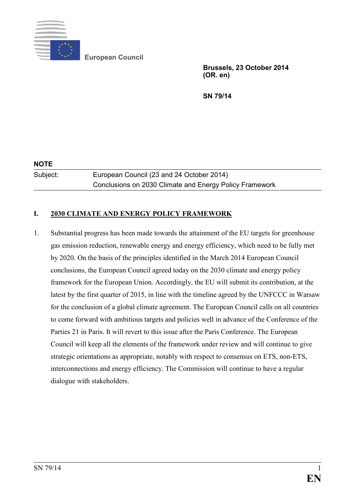

**European Council** 

**Brussels, 23 October 2014 (OR. en)** 

**SN 79/14** 

**NOTE**  Subject: European Council (23 and 24 October 2014)

Conclusions on 2030 Climate and Energy Policy Framework

# **I. 2030 CLIMATE AND ENERGY POLICY FRAMEWORK**

1. Substantial progress has been made towards the attainment of the EU targets for greenhouse gas emission reduction, renewable energy and energy efficiency, which need to be fully met by 2020. On the basis of the principles identified in the March 2014 European Council conclusions, the European Council agreed today on the 2030 climate and energy policy framework for the European Union. Accordingly, the EU will submit its contribution, at the latest by the first quarter of 2015, in line with the timeline agreed by the UNFCCC in Warsaw for the conclusion of a global climate agreement. The European Council calls on all countries to come forward with ambitious targets and policies well in advance of the Conference of the Parties 21 in Paris. It will revert to this issue after the Paris Conference. The European Council will keep all the elements of the framework under review and will continue to give strategic orientations as appropriate, notably with respect to consensus on ETS, non-ETS, interconnections and energy efficiency. The Commission will continue to have a regular dialogue with stakeholders.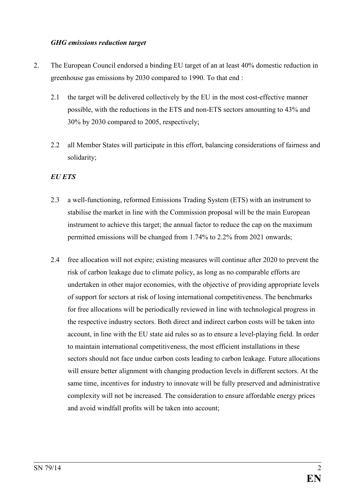#### *GHG emissions reduction target*

- 2. The European Council endorsed a binding EU target of an at least 40% domestic reduction in greenhouse gas emissions by 2030 compared to 1990. To that end :
	- 2.1 the target will be delivered collectively by the EU in the most cost-effective manner possible, with the reductions in the ETS and non-ETS sectors amounting to 43% and 30% by 2030 compared to 2005, respectively;
	- 2.2 all Member States will participate in this effort, balancing considerations of fairness and solidarity;

# *EU ETS*

- 2.3 a well-functioning, reformed Emissions Trading System (ETS) with an instrument to stabilise the market in line with the Commission proposal will be the main European instrument to achieve this target; the annual factor to reduce the cap on the maximum permitted emissions will be changed from 1.74% to 2.2% from 2021 onwards;
- 2.4 free allocation will not expire; existing measures will continue after 2020 to prevent the risk of carbon leakage due to climate policy, as long as no comparable efforts are undertaken in other major economies, with the objective of providing appropriate levels of support for sectors at risk of losing international competitiveness. The benchmarks for free allocations will be periodically reviewed in line with technological progress in the respective industry sectors. Both direct and indirect carbon costs will be taken into account, in line with the EU state aid rules so as to ensure a level-playing field. In order to maintain international competitiveness, the most efficient installations in these sectors should not face undue carbon costs leading to carbon leakage. Future allocations will ensure better alignment with changing production levels in different sectors. At the same time, incentives for industry to innovate will be fully preserved and administrative complexity will not be increased. The consideration to ensure affordable energy prices and avoid windfall profits will be taken into account;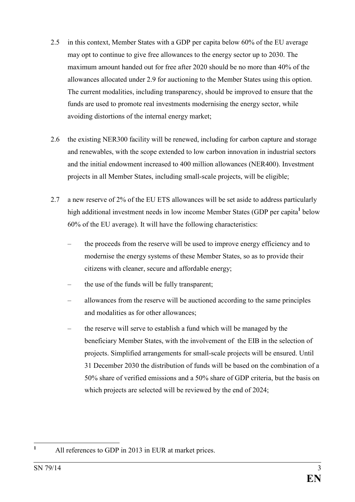- 2.5 in this context, Member States with a GDP per capita below 60% of the EU average may opt to continue to give free allowances to the energy sector up to 2030. The maximum amount handed out for free after 2020 should be no more than 40% of the allowances allocated under 2.9 for auctioning to the Member States using this option. The current modalities, including transparency, should be improved to ensure that the funds are used to promote real investments modernising the energy sector, while avoiding distortions of the internal energy market;
- 2.6 the existing NER300 facility will be renewed, including for carbon capture and storage and renewables, with the scope extended to low carbon innovation in industrial sectors and the initial endowment increased to 400 million allowances (NER400). Investment projects in all Member States, including small-scale projects, will be eligible;
- 2.7 a new reserve of 2% of the EU ETS allowances will be set aside to address particularly high additional investment needs in low income Member States (GDP per capita<sup>1</sup> below 60% of the EU average). It will have the following characteristics:
	- the proceeds from the reserve will be used to improve energy efficiency and to modernise the energy systems of these Member States, so as to provide their citizens with cleaner, secure and affordable energy;
	- the use of the funds will be fully transparent:
	- allowances from the reserve will be auctioned according to the same principles and modalities as for other allowances;
	- the reserve will serve to establish a fund which will be managed by the beneficiary Member States, with the involvement of the EIB in the selection of projects. Simplified arrangements for small-scale projects will be ensured. Until 31 December 2030 the distribution of funds will be based on the combination of a 50% share of verified emissions and a 50% share of GDP criteria, but the basis on which projects are selected will be reviewed by the end of 2024;

**1**

All references to GDP in 2013 in EUR at market prices.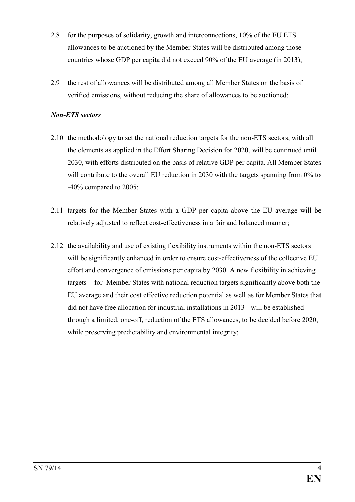- 2.8 for the purposes of solidarity, growth and interconnections, 10% of the EU ETS allowances to be auctioned by the Member States will be distributed among those countries whose GDP per capita did not exceed 90% of the EU average (in 2013);
- 2.9 the rest of allowances will be distributed among all Member States on the basis of verified emissions, without reducing the share of allowances to be auctioned;

### *Non-ETS sectors*

- 2.10 the methodology to set the national reduction targets for the non-ETS sectors, with all the elements as applied in the Effort Sharing Decision for 2020, will be continued until 2030, with efforts distributed on the basis of relative GDP per capita. All Member States will contribute to the overall EU reduction in 2030 with the targets spanning from 0% to -40% compared to 2005;
- 2.11 targets for the Member States with a GDP per capita above the EU average will be relatively adjusted to reflect cost-effectiveness in a fair and balanced manner;
- 2.12 the availability and use of existing flexibility instruments within the non-ETS sectors will be significantly enhanced in order to ensure cost-effectiveness of the collective EU effort and convergence of emissions per capita by 2030. A new flexibility in achieving targets - for Member States with national reduction targets significantly above both the EU average and their cost effective reduction potential as well as for Member States that did not have free allocation for industrial installations in 2013 - will be established through a limited, one-off, reduction of the ETS allowances, to be decided before 2020, while preserving predictability and environmental integrity;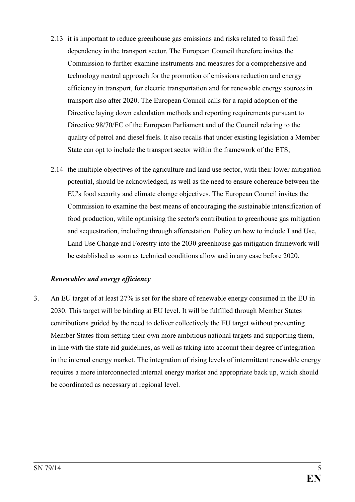- 2.13 it is important to reduce greenhouse gas emissions and risks related to fossil fuel dependency in the transport sector. The European Council therefore invites the Commission to further examine instruments and measures for a comprehensive and technology neutral approach for the promotion of emissions reduction and energy efficiency in transport, for electric transportation and for renewable energy sources in transport also after 2020. The European Council calls for a rapid adoption of the Directive laying down calculation methods and reporting requirements pursuant to Directive 98/70/EC of the European Parliament and of the Council relating to the quality of petrol and diesel fuels. It also recalls that under existing legislation a Member State can opt to include the transport sector within the framework of the ETS;
- 2.14 the multiple objectives of the agriculture and land use sector, with their lower mitigation potential, should be acknowledged, as well as the need to ensure coherence between the EU's food security and climate change objectives. The European Council invites the Commission to examine the best means of encouraging the sustainable intensification of food production, while optimising the sector's contribution to greenhouse gas mitigation and sequestration, including through afforestation. Policy on how to include Land Use, Land Use Change and Forestry into the 2030 greenhouse gas mitigation framework will be established as soon as technical conditions allow and in any case before 2020.

### *Renewables and energy efficiency*

3. An EU target of at least 27% is set for the share of renewable energy consumed in the EU in 2030. This target will be binding at EU level. It will be fulfilled through Member States contributions guided by the need to deliver collectively the EU target without preventing Member States from setting their own more ambitious national targets and supporting them, in line with the state aid guidelines, as well as taking into account their degree of integration in the internal energy market. The integration of rising levels of intermittent renewable energy requires a more interconnected internal energy market and appropriate back up, which should be coordinated as necessary at regional level.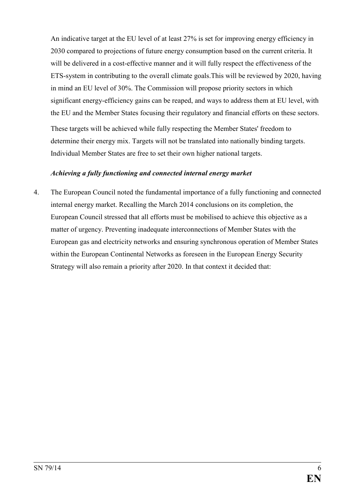An indicative target at the EU level of at least 27% is set for improving energy efficiency in 2030 compared to projections of future energy consumption based on the current criteria. It will be delivered in a cost-effective manner and it will fully respect the effectiveness of the ETS-system in contributing to the overall climate goals.This will be reviewed by 2020, having in mind an EU level of 30%. The Commission will propose priority sectors in which significant energy-efficiency gains can be reaped, and ways to address them at EU level, with the EU and the Member States focusing their regulatory and financial efforts on these sectors. These targets will be achieved while fully respecting the Member States' freedom to determine their energy mix. Targets will not be translated into nationally binding targets. Individual Member States are free to set their own higher national targets.

# *Achieving a fully functioning and connected internal energy market*

4. The European Council noted the fundamental importance of a fully functioning and connected internal energy market. Recalling the March 2014 conclusions on its completion, the European Council stressed that all efforts must be mobilised to achieve this objective as a matter of urgency. Preventing inadequate interconnections of Member States with the European gas and electricity networks and ensuring synchronous operation of Member States within the European Continental Networks as foreseen in the European Energy Security Strategy will also remain a priority after 2020. In that context it decided that: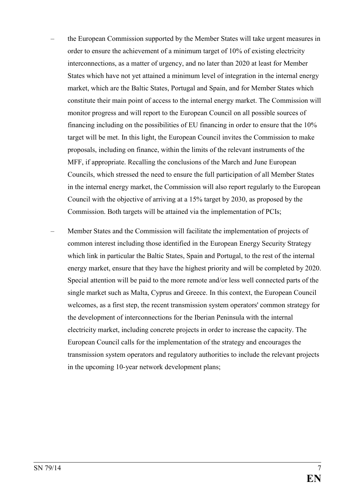- the European Commission supported by the Member States will take urgent measures in order to ensure the achievement of a minimum target of 10% of existing electricity interconnections, as a matter of urgency, and no later than 2020 at least for Member States which have not yet attained a minimum level of integration in the internal energy market, which are the Baltic States, Portugal and Spain, and for Member States which constitute their main point of access to the internal energy market. The Commission will monitor progress and will report to the European Council on all possible sources of financing including on the possibilities of EU financing in order to ensure that the 10% target will be met. In this light, the European Council invites the Commission to make proposals, including on finance, within the limits of the relevant instruments of the MFF, if appropriate. Recalling the conclusions of the March and June European Councils, which stressed the need to ensure the full participation of all Member States in the internal energy market, the Commission will also report regularly to the European Council with the objective of arriving at a 15% target by 2030, as proposed by the Commission. Both targets will be attained via the implementation of PCIs;
- Member States and the Commission will facilitate the implementation of projects of common interest including those identified in the European Energy Security Strategy which link in particular the Baltic States, Spain and Portugal, to the rest of the internal energy market, ensure that they have the highest priority and will be completed by 2020. Special attention will be paid to the more remote and/or less well connected parts of the single market such as Malta, Cyprus and Greece. In this context, the European Council welcomes, as a first step, the recent transmission system operators' common strategy for the development of interconnections for the Iberian Peninsula with the internal electricity market, including concrete projects in order to increase the capacity. The European Council calls for the implementation of the strategy and encourages the transmission system operators and regulatory authorities to include the relevant projects in the upcoming 10-year network development plans;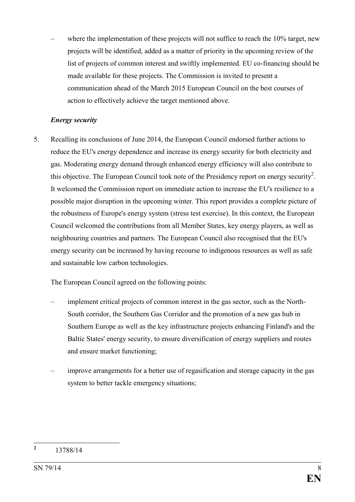where the implementation of these projects will not suffice to reach the 10% target, new projects will be identified, added as a matter of priority in the upcoming review of the list of projects of common interest and swiftly implemented. EU co-financing should be made available for these projects. The Commission is invited to present a communication ahead of the March 2015 European Council on the best courses of action to effectively achieve the target mentioned above.

# *Energy security*

5. Recalling its conclusions of June 2014, the European Council endorsed further actions to reduce the EU's energy dependence and increase its energy security for both electricity and gas. Moderating energy demand through enhanced energy efficiency will also contribute to this objective. The European Council took note of the Presidency report on energy security<sup>2</sup>. It welcomed the Commission report on immediate action to increase the EU's resilience to a possible major disruption in the upcoming winter. This report provides a complete picture of the robustness of Europe's energy system (stress test exercise). In this context, the European Council welcomed the contributions from all Member States, key energy players, as well as neighbouring countries and partners. The European Council also recognised that the EU's energy security can be increased by having recourse to indigenous resources as well as safe and sustainable low carbon technologies.

The European Council agreed on the following points:

- implement critical projects of common interest in the gas sector, such as the North-South corridor, the Southern Gas Corridor and the promotion of a new gas hub in Southern Europe as well as the key infrastructure projects enhancing Finland's and the Baltic States' energy security, to ensure diversification of energy suppliers and routes and ensure market functioning;
- improve arrangements for a better use of regasification and storage capacity in the gas system to better tackle emergency situations;

 **2** 13788/14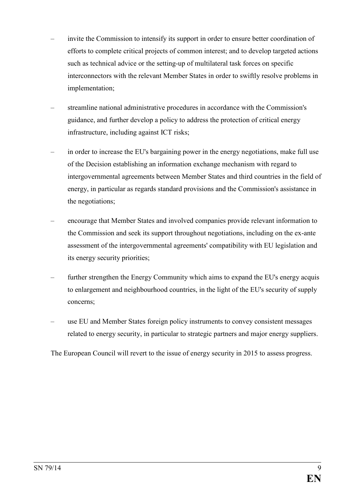- invite the Commission to intensify its support in order to ensure better coordination of efforts to complete critical projects of common interest; and to develop targeted actions such as technical advice or the setting-up of multilateral task forces on specific interconnectors with the relevant Member States in order to swiftly resolve problems in implementation;
- streamline national administrative procedures in accordance with the Commission's guidance, and further develop a policy to address the protection of critical energy infrastructure, including against ICT risks;
- in order to increase the EU's bargaining power in the energy negotiations, make full use of the Decision establishing an information exchange mechanism with regard to intergovernmental agreements between Member States and third countries in the field of energy, in particular as regards standard provisions and the Commission's assistance in the negotiations;
- encourage that Member States and involved companies provide relevant information to the Commission and seek its support throughout negotiations, including on the ex-ante assessment of the intergovernmental agreements' compatibility with EU legislation and its energy security priorities;
- further strengthen the Energy Community which aims to expand the EU's energy acquis to enlargement and neighbourhood countries, in the light of the EU's security of supply concerns;
- use EU and Member States foreign policy instruments to convey consistent messages related to energy security, in particular to strategic partners and major energy suppliers.

The European Council will revert to the issue of energy security in 2015 to assess progress.